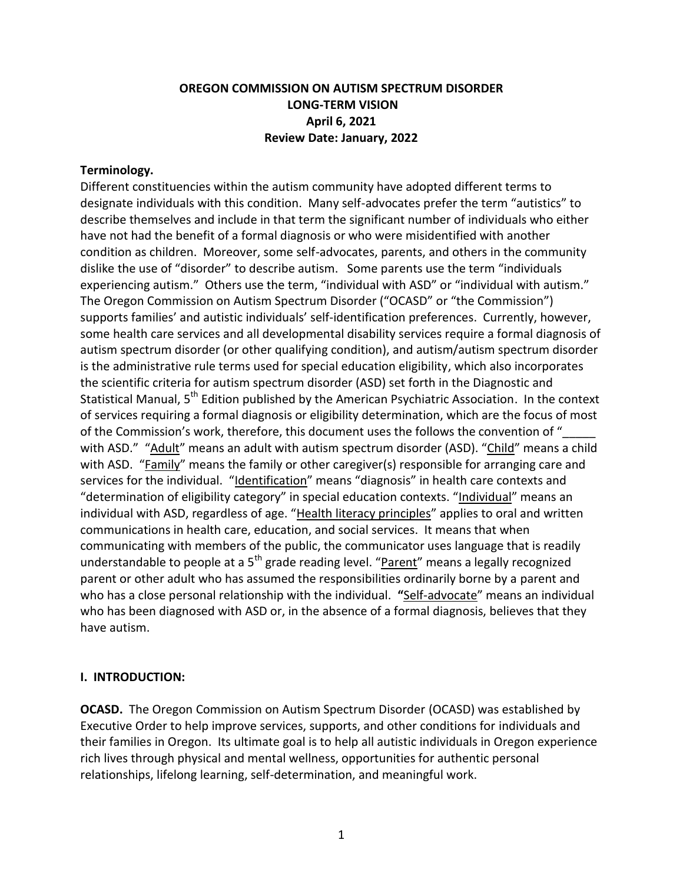## **OREGON COMMISSION ON AUTISM SPECTRUM DISORDER LONG-TERM VISION April 6, 2021 Review Date: January, 2022**

#### **Terminology.**

Different constituencies within the autism community have adopted different terms to designate individuals with this condition. Many self-advocates prefer the term "autistics" to describe themselves and include in that term the significant number of individuals who either have not had the benefit of a formal diagnosis or who were misidentified with another condition as children. Moreover, some self-advocates, parents, and others in the community dislike the use of "disorder" to describe autism. Some parents use the term "individuals experiencing autism." Others use the term, "individual with ASD" or "individual with autism." The Oregon Commission on Autism Spectrum Disorder ("OCASD" or "the Commission") supports families' and autistic individuals' self-identification preferences. Currently, however, some health care services and all developmental disability services require a formal diagnosis of autism spectrum disorder (or other qualifying condition), and autism/autism spectrum disorder is the administrative rule terms used for special education eligibility, which also incorporates the scientific criteria for autism spectrum disorder (ASD) set forth in the Diagnostic and Statistical Manual, 5<sup>th</sup> Edition published by the American Psychiatric Association. In the context of services requiring a formal diagnosis or eligibility determination, which are the focus of most of the Commission's work, therefore, this document uses the follows the convention of " with ASD." "Adult" means an adult with autism spectrum disorder (ASD). "Child" means a child with ASD. "Family" means the family or other caregiver(s) responsible for arranging care and services for the individual. "Identification" means "diagnosis" in health care contexts and "determination of eligibility category" in special education contexts. "Individual" means an individual with ASD, regardless of age. "Health literacy principles" applies to oral and written communications in health care, education, and social services. It means that when communicating with members of the public, the communicator uses language that is readily understandable to people at a  $5<sup>th</sup>$  grade reading level. "Parent" means a legally recognized parent or other adult who has assumed the responsibilities ordinarily borne by a parent and who has a close personal relationship with the individual. **"**Self-advocate" means an individual who has been diagnosed with ASD or, in the absence of a formal diagnosis, believes that they have autism.

### **I. INTRODUCTION:**

**OCASD.** The Oregon Commission on Autism Spectrum Disorder (OCASD) was established by Executive Order to help improve services, supports, and other conditions for individuals and their families in Oregon. Its ultimate goal is to help all autistic individuals in Oregon experience rich lives through physical and mental wellness, opportunities for authentic personal relationships, lifelong learning, self-determination, and meaningful work.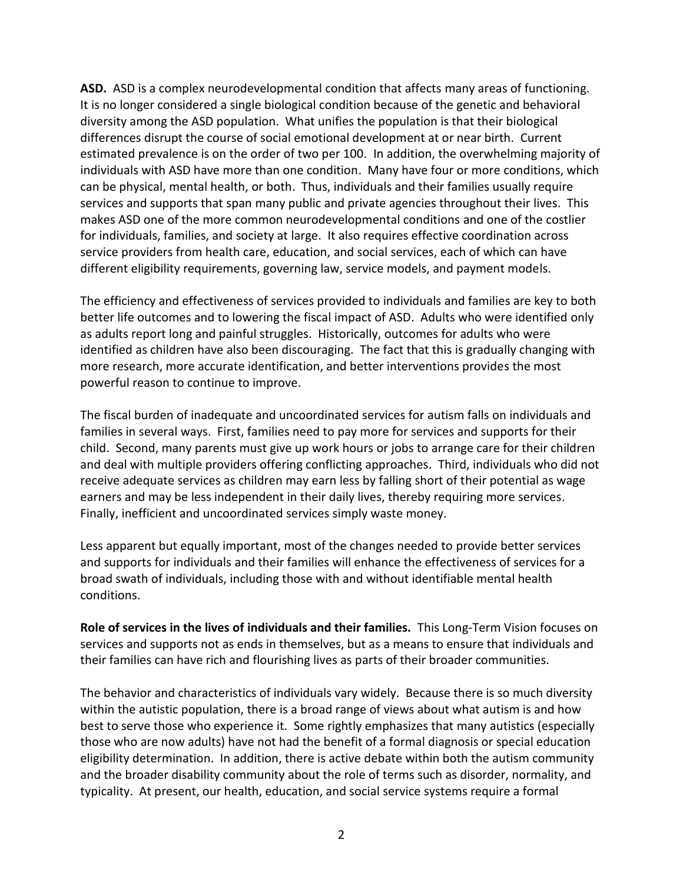**ASD.** ASD is a complex neurodevelopmental condition that affects many areas of functioning. It is no longer considered a single biological condition because of the genetic and behavioral diversity among the ASD population. What unifies the population is that their biological differences disrupt the course of social emotional development at or near birth. Current estimated prevalence is on the order of two per 100. In addition, the overwhelming majority of individuals with ASD have more than one condition. Many have four or more conditions, which can be physical, mental health, or both. Thus, individuals and their families usually require services and supports that span many public and private agencies throughout their lives. This makes ASD one of the more common neurodevelopmental conditions and one of the costlier for individuals, families, and society at large. It also requires effective coordination across service providers from health care, education, and social services, each of which can have different eligibility requirements, governing law, service models, and payment models.

The efficiency and effectiveness of services provided to individuals and families are key to both better life outcomes and to lowering the fiscal impact of ASD. Adults who were identified only as adults report long and painful struggles. Historically, outcomes for adults who were identified as children have also been discouraging. The fact that this is gradually changing with more research, more accurate identification, and better interventions provides the most powerful reason to continue to improve.

The fiscal burden of inadequate and uncoordinated services for autism falls on individuals and families in several ways. First, families need to pay more for services and supports for their child. Second, many parents must give up work hours or jobs to arrange care for their children and deal with multiple providers offering conflicting approaches. Third, individuals who did not receive adequate services as children may earn less by falling short of their potential as wage earners and may be less independent in their daily lives, thereby requiring more services. Finally, inefficient and uncoordinated services simply waste money.

Less apparent but equally important, most of the changes needed to provide better services and supports for individuals and their families will enhance the effectiveness of services for a broad swath of individuals, including those with and without identifiable mental health conditions.

**Role of services in the lives of individuals and their families.** This Long-Term Vision focuses on services and supports not as ends in themselves, but as a means to ensure that individuals and their families can have rich and flourishing lives as parts of their broader communities.

The behavior and characteristics of individuals vary widely. Because there is so much diversity within the autistic population, there is a broad range of views about what autism is and how best to serve those who experience it. Some rightly emphasizes that many autistics (especially those who are now adults) have not had the benefit of a formal diagnosis or special education eligibility determination. In addition, there is active debate within both the autism community and the broader disability community about the role of terms such as disorder, normality, and typicality. At present, our health, education, and social service systems require a formal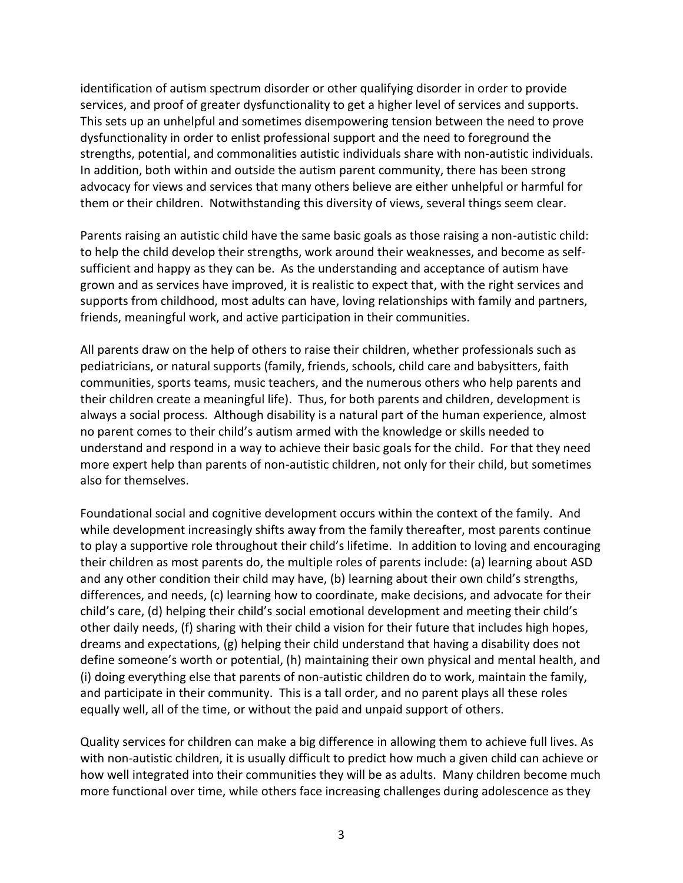identification of autism spectrum disorder or other qualifying disorder in order to provide services, and proof of greater dysfunctionality to get a higher level of services and supports. This sets up an unhelpful and sometimes disempowering tension between the need to prove dysfunctionality in order to enlist professional support and the need to foreground the strengths, potential, and commonalities autistic individuals share with non-autistic individuals. In addition, both within and outside the autism parent community, there has been strong advocacy for views and services that many others believe are either unhelpful or harmful for them or their children. Notwithstanding this diversity of views, several things seem clear.

Parents raising an autistic child have the same basic goals as those raising a non-autistic child: to help the child develop their strengths, work around their weaknesses, and become as selfsufficient and happy as they can be. As the understanding and acceptance of autism have grown and as services have improved, it is realistic to expect that, with the right services and supports from childhood, most adults can have, loving relationships with family and partners, friends, meaningful work, and active participation in their communities.

All parents draw on the help of others to raise their children, whether professionals such as pediatricians, or natural supports (family, friends, schools, child care and babysitters, faith communities, sports teams, music teachers, and the numerous others who help parents and their children create a meaningful life). Thus, for both parents and children, development is always a social process. Although disability is a natural part of the human experience, almost no parent comes to their child's autism armed with the knowledge or skills needed to understand and respond in a way to achieve their basic goals for the child. For that they need more expert help than parents of non-autistic children, not only for their child, but sometimes also for themselves.

Foundational social and cognitive development occurs within the context of the family. And while development increasingly shifts away from the family thereafter, most parents continue to play a supportive role throughout their child's lifetime. In addition to loving and encouraging their children as most parents do, the multiple roles of parents include: (a) learning about ASD and any other condition their child may have, (b) learning about their own child's strengths, differences, and needs, (c) learning how to coordinate, make decisions, and advocate for their child's care, (d) helping their child's social emotional development and meeting their child's other daily needs, (f) sharing with their child a vision for their future that includes high hopes, dreams and expectations, (g) helping their child understand that having a disability does not define someone's worth or potential, (h) maintaining their own physical and mental health, and (i) doing everything else that parents of non-autistic children do to work, maintain the family, and participate in their community. This is a tall order, and no parent plays all these roles equally well, all of the time, or without the paid and unpaid support of others.

Quality services for children can make a big difference in allowing them to achieve full lives. As with non-autistic children, it is usually difficult to predict how much a given child can achieve or how well integrated into their communities they will be as adults. Many children become much more functional over time, while others face increasing challenges during adolescence as they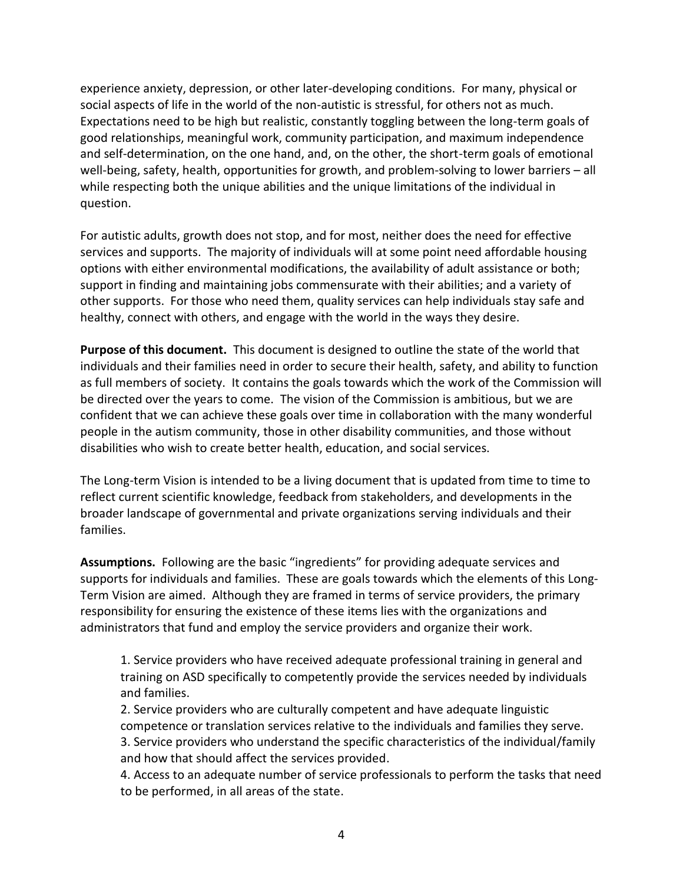experience anxiety, depression, or other later-developing conditions. For many, physical or social aspects of life in the world of the non-autistic is stressful, for others not as much. Expectations need to be high but realistic, constantly toggling between the long-term goals of good relationships, meaningful work, community participation, and maximum independence and self-determination, on the one hand, and, on the other, the short-term goals of emotional well-being, safety, health, opportunities for growth, and problem-solving to lower barriers – all while respecting both the unique abilities and the unique limitations of the individual in question.

For autistic adults, growth does not stop, and for most, neither does the need for effective services and supports. The majority of individuals will at some point need affordable housing options with either environmental modifications, the availability of adult assistance or both; support in finding and maintaining jobs commensurate with their abilities; and a variety of other supports. For those who need them, quality services can help individuals stay safe and healthy, connect with others, and engage with the world in the ways they desire.

**Purpose of this document.** This document is designed to outline the state of the world that individuals and their families need in order to secure their health, safety, and ability to function as full members of society. It contains the goals towards which the work of the Commission will be directed over the years to come. The vision of the Commission is ambitious, but we are confident that we can achieve these goals over time in collaboration with the many wonderful people in the autism community, those in other disability communities, and those without disabilities who wish to create better health, education, and social services.

The Long-term Vision is intended to be a living document that is updated from time to time to reflect current scientific knowledge, feedback from stakeholders, and developments in the broader landscape of governmental and private organizations serving individuals and their families.

**Assumptions.** Following are the basic "ingredients" for providing adequate services and supports for individuals and families. These are goals towards which the elements of this Long-Term Vision are aimed. Although they are framed in terms of service providers, the primary responsibility for ensuring the existence of these items lies with the organizations and administrators that fund and employ the service providers and organize their work.

1. Service providers who have received adequate professional training in general and training on ASD specifically to competently provide the services needed by individuals and families.

2. Service providers who are culturally competent and have adequate linguistic competence or translation services relative to the individuals and families they serve. 3. Service providers who understand the specific characteristics of the individual/family and how that should affect the services provided.

4. Access to an adequate number of service professionals to perform the tasks that need to be performed, in all areas of the state.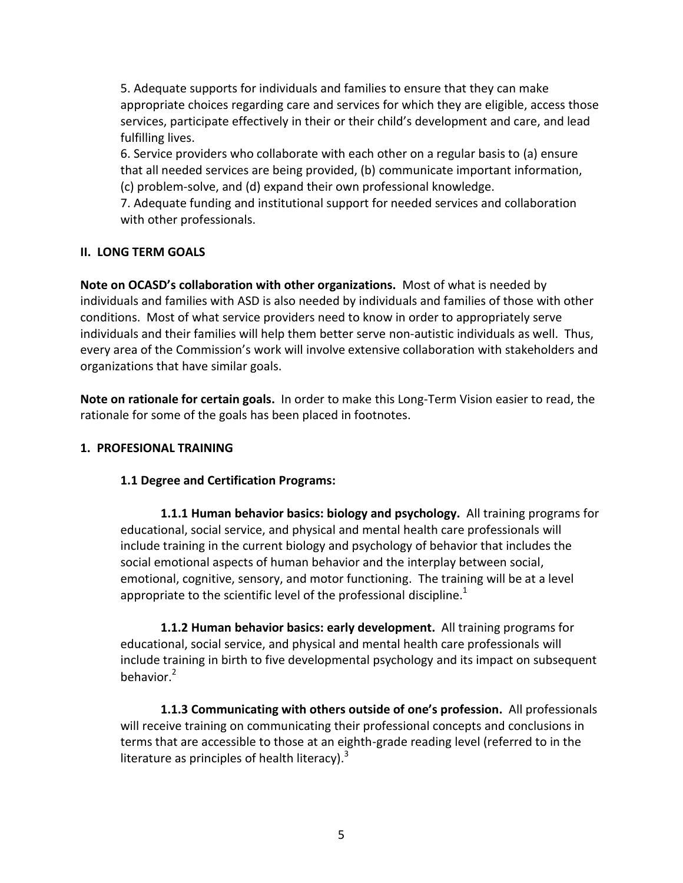5. Adequate supports for individuals and families to ensure that they can make appropriate choices regarding care and services for which they are eligible, access those services, participate effectively in their or their child's development and care, and lead fulfilling lives.

6. Service providers who collaborate with each other on a regular basis to (a) ensure that all needed services are being provided, (b) communicate important information, (c) problem-solve, and (d) expand their own professional knowledge.

7. Adequate funding and institutional support for needed services and collaboration with other professionals.

### **II. LONG TERM GOALS**

**Note on OCASD's collaboration with other organizations.** Most of what is needed by individuals and families with ASD is also needed by individuals and families of those with other conditions. Most of what service providers need to know in order to appropriately serve individuals and their families will help them better serve non-autistic individuals as well. Thus, every area of the Commission's work will involve extensive collaboration with stakeholders and organizations that have similar goals.

**Note on rationale for certain goals.** In order to make this Long-Term Vision easier to read, the rationale for some of the goals has been placed in footnotes.

### **1. PROFESIONAL TRAINING**

## **1.1 Degree and Certification Programs:**

**1.1.1 Human behavior basics: biology and psychology.** All training programs for educational, social service, and physical and mental health care professionals will include training in the current biology and psychology of behavior that includes the social emotional aspects of human behavior and the interplay between social, emotional, cognitive, sensory, and motor functioning. The training will be at a level appropriate to the scientific level of the professional discipline.<sup>1</sup>

**1.1.2 Human behavior basics: early development.** All training programs for educational, social service, and physical and mental health care professionals will include training in birth to five developmental psychology and its impact on subsequent behavior. 2

**1.1.3 Communicating with others outside of one's profession.** All professionals will receive training on communicating their professional concepts and conclusions in terms that are accessible to those at an eighth-grade reading level (referred to in the literature as principles of health literacy). $^3$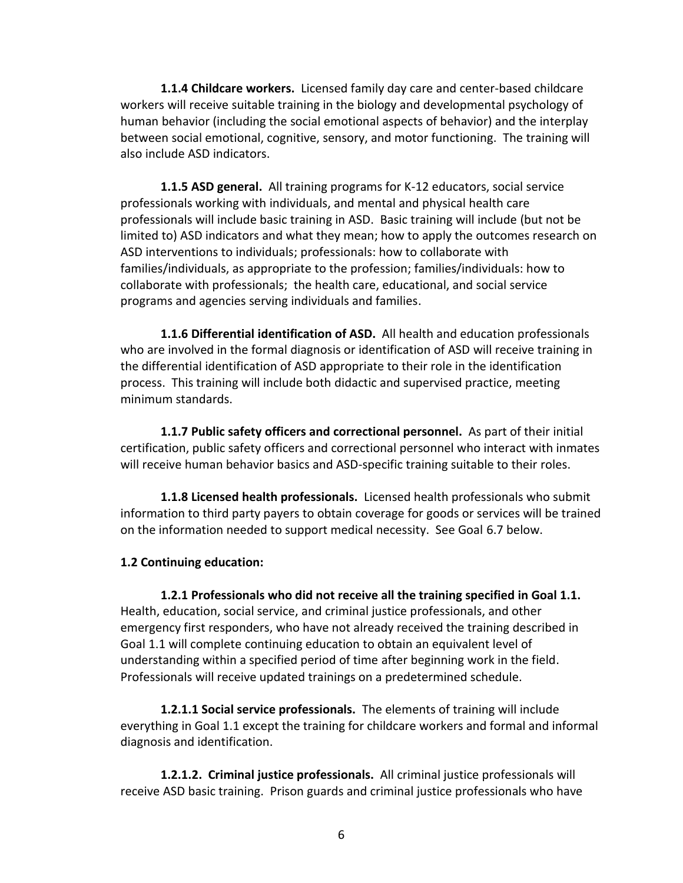**1.1.4 Childcare workers.** Licensed family day care and center-based childcare workers will receive suitable training in the biology and developmental psychology of human behavior (including the social emotional aspects of behavior) and the interplay between social emotional, cognitive, sensory, and motor functioning. The training will also include ASD indicators.

**1.1.5 ASD general.** All training programs for K-12 educators, social service professionals working with individuals, and mental and physical health care professionals will include basic training in ASD. Basic training will include (but not be limited to) ASD indicators and what they mean; how to apply the outcomes research on ASD interventions to individuals; professionals: how to collaborate with families/individuals, as appropriate to the profession; families/individuals: how to collaborate with professionals; the health care, educational, and social service programs and agencies serving individuals and families.

**1.1.6 Differential identification of ASD.** All health and education professionals who are involved in the formal diagnosis or identification of ASD will receive training in the differential identification of ASD appropriate to their role in the identification process. This training will include both didactic and supervised practice, meeting minimum standards.

**1.1.7 Public safety officers and correctional personnel.** As part of their initial certification, public safety officers and correctional personnel who interact with inmates will receive human behavior basics and ASD-specific training suitable to their roles.

**1.1.8 Licensed health professionals.** Licensed health professionals who submit information to third party payers to obtain coverage for goods or services will be trained on the information needed to support medical necessity. See Goal 6.7 below.

#### **1.2 Continuing education:**

**1.2.1 Professionals who did not receive all the training specified in Goal 1.1.** Health, education, social service, and criminal justice professionals, and other emergency first responders, who have not already received the training described in Goal 1.1 will complete continuing education to obtain an equivalent level of understanding within a specified period of time after beginning work in the field. Professionals will receive updated trainings on a predetermined schedule.

**1.2.1.1 Social service professionals.** The elements of training will include everything in Goal 1.1 except the training for childcare workers and formal and informal diagnosis and identification.

**1.2.1.2. Criminal justice professionals.** All criminal justice professionals will receive ASD basic training. Prison guards and criminal justice professionals who have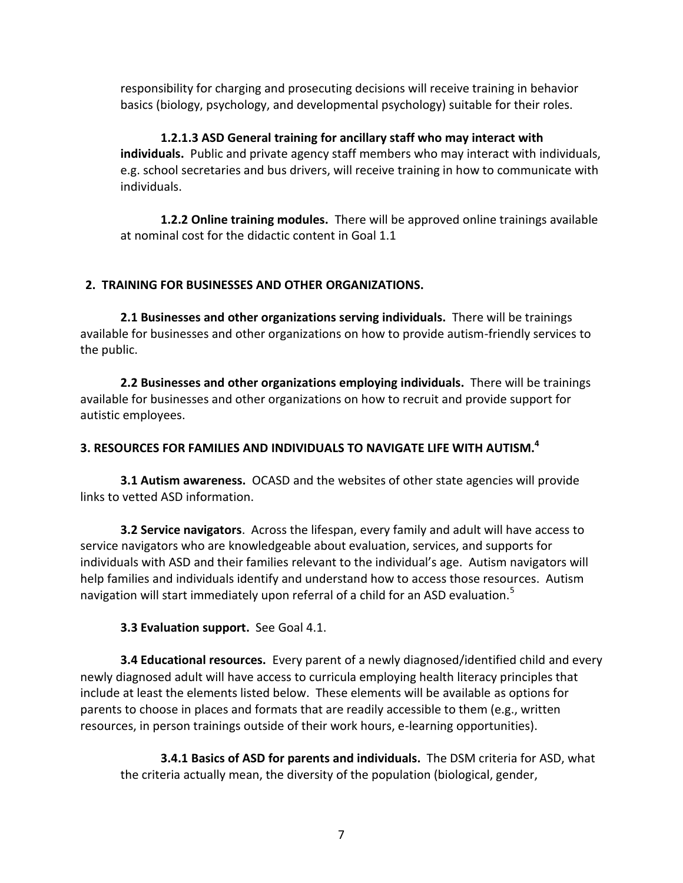responsibility for charging and prosecuting decisions will receive training in behavior basics (biology, psychology, and developmental psychology) suitable for their roles.

**1.2.1.3 ASD General training for ancillary staff who may interact with individuals.** Public and private agency staff members who may interact with individuals, e.g. school secretaries and bus drivers, will receive training in how to communicate with individuals.

**1.2.2 Online training modules.** There will be approved online trainings available at nominal cost for the didactic content in Goal 1.1

# **2. TRAINING FOR BUSINESSES AND OTHER ORGANIZATIONS.**

**2.1 Businesses and other organizations serving individuals.** There will be trainings available for businesses and other organizations on how to provide autism-friendly services to the public.

**2.2 Businesses and other organizations employing individuals.** There will be trainings available for businesses and other organizations on how to recruit and provide support for autistic employees.

# **3. RESOURCES FOR FAMILIES AND INDIVIDUALS TO NAVIGATE LIFE WITH AUTISM. 4**

**3.1 Autism awareness.** OCASD and the websites of other state agencies will provide links to vetted ASD information.

**3.2 Service navigators**. Across the lifespan, every family and adult will have access to service navigators who are knowledgeable about evaluation, services, and supports for individuals with ASD and their families relevant to the individual's age. Autism navigators will help families and individuals identify and understand how to access those resources. Autism navigation will start immediately upon referral of a child for an ASD evaluation.<sup>5</sup>

# **3.3 Evaluation support.** See Goal 4.1.

**3.4 Educational resources.** Every parent of a newly diagnosed/identified child and every newly diagnosed adult will have access to curricula employing health literacy principles that include at least the elements listed below. These elements will be available as options for parents to choose in places and formats that are readily accessible to them (e.g., written resources, in person trainings outside of their work hours, e-learning opportunities).

**3.4.1 Basics of ASD for parents and individuals.** The DSM criteria for ASD, what the criteria actually mean, the diversity of the population (biological, gender,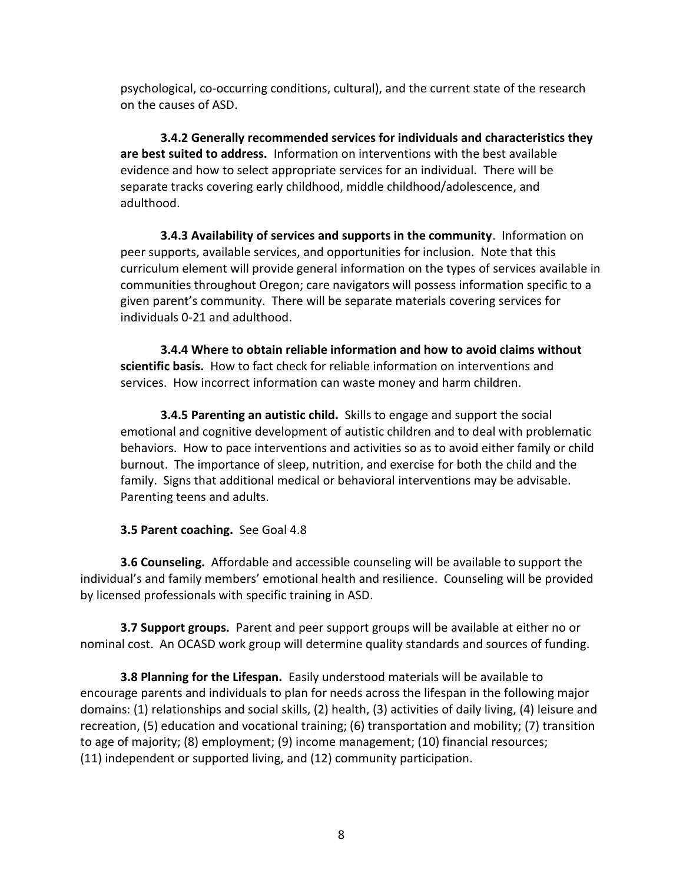psychological, co-occurring conditions, cultural), and the current state of the research on the causes of ASD.

**3.4.2 Generally recommended services for individuals and characteristics they are best suited to address.** Information on interventions with the best available evidence and how to select appropriate services for an individual. There will be separate tracks covering early childhood, middle childhood/adolescence, and adulthood.

**3.4.3 Availability of services and supports in the community**. Information on peer supports, available services, and opportunities for inclusion. Note that this curriculum element will provide general information on the types of services available in communities throughout Oregon; care navigators will possess information specific to a given parent's community. There will be separate materials covering services for individuals 0-21 and adulthood.

**3.4.4 Where to obtain reliable information and how to avoid claims without scientific basis.** How to fact check for reliable information on interventions and services. How incorrect information can waste money and harm children.

**3.4.5 Parenting an autistic child.** Skills to engage and support the social emotional and cognitive development of autistic children and to deal with problematic behaviors. How to pace interventions and activities so as to avoid either family or child burnout. The importance of sleep, nutrition, and exercise for both the child and the family. Signs that additional medical or behavioral interventions may be advisable. Parenting teens and adults.

### **3.5 Parent coaching.** See Goal 4.8

**3.6 Counseling.** Affordable and accessible counseling will be available to support the individual's and family members' emotional health and resilience. Counseling will be provided by licensed professionals with specific training in ASD.

**3.7 Support groups.** Parent and peer support groups will be available at either no or nominal cost. An OCASD work group will determine quality standards and sources of funding.

**3.8 Planning for the Lifespan.** Easily understood materials will be available to encourage parents and individuals to plan for needs across the lifespan in the following major domains: (1) relationships and social skills, (2) health, (3) activities of daily living, (4) leisure and recreation, (5) education and vocational training; (6) transportation and mobility; (7) transition to age of majority; (8) employment; (9) income management; (10) financial resources; (11) independent or supported living, and (12) community participation.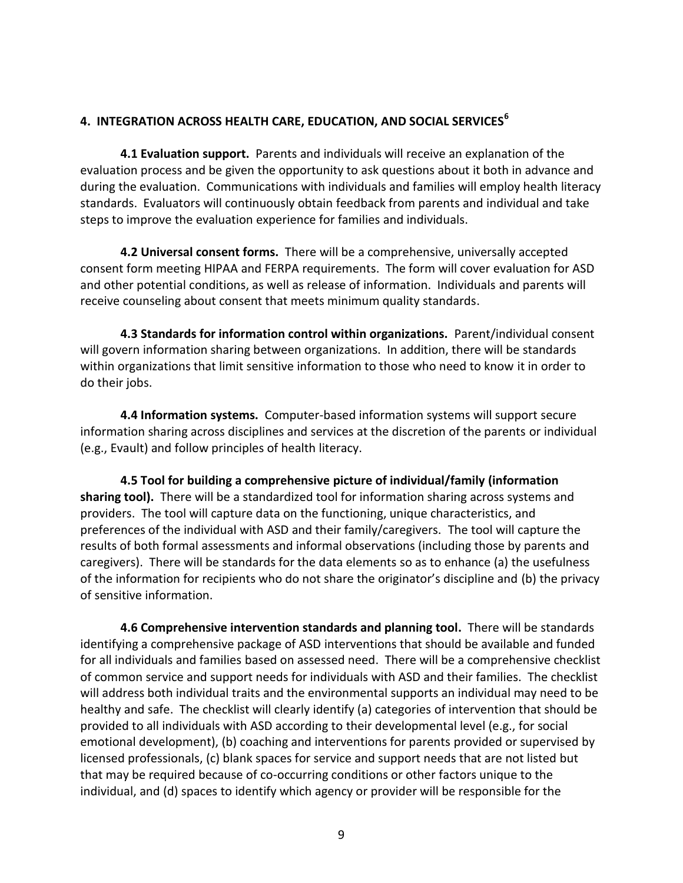### **4. INTEGRATION ACROSS HEALTH CARE, EDUCATION, AND SOCIAL SERVICES<sup>6</sup>**

**4.1 Evaluation support.** Parents and individuals will receive an explanation of the evaluation process and be given the opportunity to ask questions about it both in advance and during the evaluation. Communications with individuals and families will employ health literacy standards. Evaluators will continuously obtain feedback from parents and individual and take steps to improve the evaluation experience for families and individuals.

**4.2 Universal consent forms.** There will be a comprehensive, universally accepted consent form meeting HIPAA and FERPA requirements. The form will cover evaluation for ASD and other potential conditions, as well as release of information. Individuals and parents will receive counseling about consent that meets minimum quality standards.

**4.3 Standards for information control within organizations.** Parent/individual consent will govern information sharing between organizations. In addition, there will be standards within organizations that limit sensitive information to those who need to know it in order to do their jobs.

**4.4 Information systems.** Computer-based information systems will support secure information sharing across disciplines and services at the discretion of the parents or individual (e.g., Evault) and follow principles of health literacy.

**4.5 Tool for building a comprehensive picture of individual/family (information sharing tool).** There will be a standardized tool for information sharing across systems and providers. The tool will capture data on the functioning, unique characteristics, and preferences of the individual with ASD and their family/caregivers. The tool will capture the results of both formal assessments and informal observations (including those by parents and caregivers). There will be standards for the data elements so as to enhance (a) the usefulness of the information for recipients who do not share the originator's discipline and (b) the privacy of sensitive information.

**4.6 Comprehensive intervention standards and planning tool.** There will be standards identifying a comprehensive package of ASD interventions that should be available and funded for all individuals and families based on assessed need. There will be a comprehensive checklist of common service and support needs for individuals with ASD and their families. The checklist will address both individual traits and the environmental supports an individual may need to be healthy and safe. The checklist will clearly identify (a) categories of intervention that should be provided to all individuals with ASD according to their developmental level (e.g., for social emotional development), (b) coaching and interventions for parents provided or supervised by licensed professionals, (c) blank spaces for service and support needs that are not listed but that may be required because of co-occurring conditions or other factors unique to the individual, and (d) spaces to identify which agency or provider will be responsible for the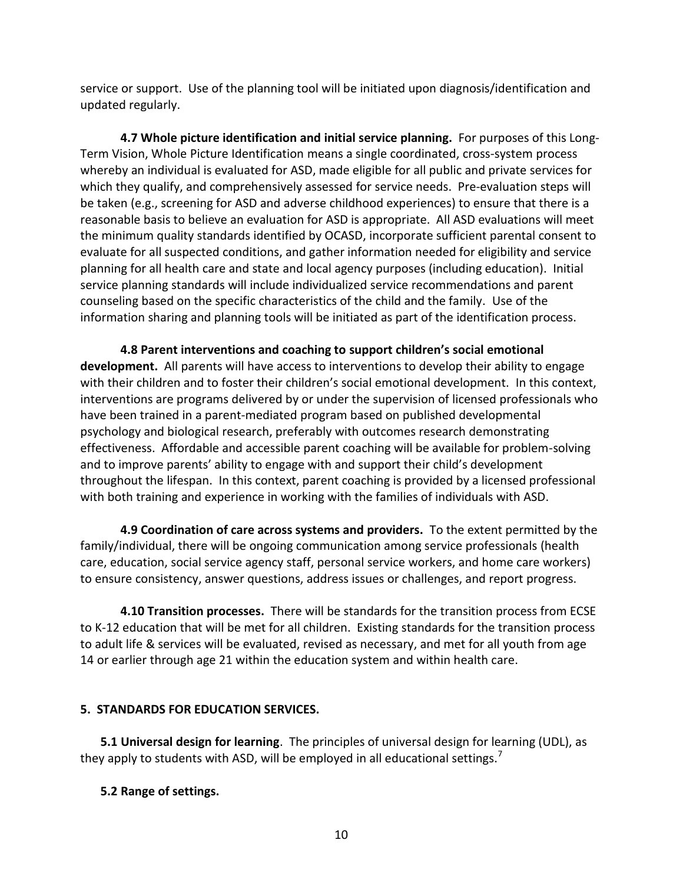service or support. Use of the planning tool will be initiated upon diagnosis/identification and updated regularly.

**4.7 Whole picture identification and initial service planning.** For purposes of this Long-Term Vision, Whole Picture Identification means a single coordinated, cross-system process whereby an individual is evaluated for ASD, made eligible for all public and private services for which they qualify, and comprehensively assessed for service needs. Pre-evaluation steps will be taken (e.g., screening for ASD and adverse childhood experiences) to ensure that there is a reasonable basis to believe an evaluation for ASD is appropriate. All ASD evaluations will meet the minimum quality standards identified by OCASD, incorporate sufficient parental consent to evaluate for all suspected conditions, and gather information needed for eligibility and service planning for all health care and state and local agency purposes (including education). Initial service planning standards will include individualized service recommendations and parent counseling based on the specific characteristics of the child and the family. Use of the information sharing and planning tools will be initiated as part of the identification process.

**4.8 Parent interventions and coaching to support children's social emotional development.** All parents will have access to interventions to develop their ability to engage with their children and to foster their children's social emotional development. In this context, interventions are programs delivered by or under the supervision of licensed professionals who have been trained in a parent-mediated program based on published developmental psychology and biological research, preferably with outcomes research demonstrating effectiveness. Affordable and accessible parent coaching will be available for problem-solving and to improve parents' ability to engage with and support their child's development throughout the lifespan. In this context, parent coaching is provided by a licensed professional with both training and experience in working with the families of individuals with ASD.

**4.9 Coordination of care across systems and providers.** To the extent permitted by the family/individual, there will be ongoing communication among service professionals (health care, education, social service agency staff, personal service workers, and home care workers) to ensure consistency, answer questions, address issues or challenges, and report progress.

**4.10 Transition processes.** There will be standards for the transition process from ECSE to K-12 education that will be met for all children. Existing standards for the transition process to adult life & services will be evaluated, revised as necessary, and met for all youth from age 14 or earlier through age 21 within the education system and within health care.

## **5. STANDARDS FOR EDUCATION SERVICES.**

**5.1 Universal design for learning**. The principles of universal design for learning (UDL), as they apply to students with ASD, will be employed in all educational settings.<sup>7</sup>

## **5.2 Range of settings.**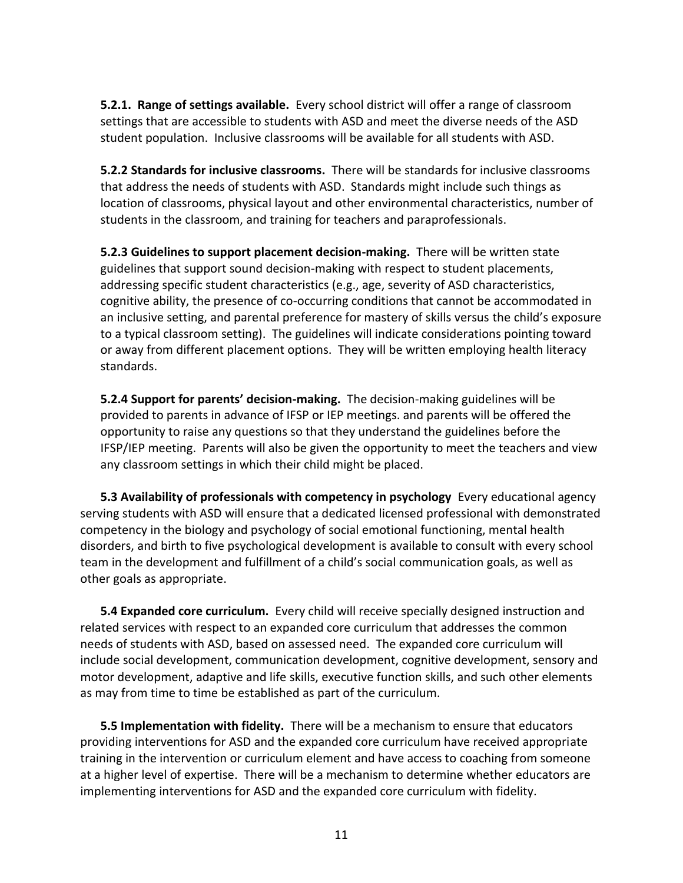**5.2.1. Range of settings available.** Every school district will offer a range of classroom settings that are accessible to students with ASD and meet the diverse needs of the ASD student population. Inclusive classrooms will be available for all students with ASD.

**5.2.2 Standards for inclusive classrooms.** There will be standards for inclusive classrooms that address the needs of students with ASD. Standards might include such things as location of classrooms, physical layout and other environmental characteristics, number of students in the classroom, and training for teachers and paraprofessionals.

**5.2.3 Guidelines to support placement decision-making.** There will be written state guidelines that support sound decision-making with respect to student placements, addressing specific student characteristics (e.g., age, severity of ASD characteristics, cognitive ability, the presence of co-occurring conditions that cannot be accommodated in an inclusive setting, and parental preference for mastery of skills versus the child's exposure to a typical classroom setting). The guidelines will indicate considerations pointing toward or away from different placement options. They will be written employing health literacy standards.

**5.2.4 Support for parents' decision-making.** The decision-making guidelines will be provided to parents in advance of IFSP or IEP meetings. and parents will be offered the opportunity to raise any questions so that they understand the guidelines before the IFSP/IEP meeting. Parents will also be given the opportunity to meet the teachers and view any classroom settings in which their child might be placed.

**5.3 Availability of professionals with competency in psychology** Every educational agency serving students with ASD will ensure that a dedicated licensed professional with demonstrated competency in the biology and psychology of social emotional functioning, mental health disorders, and birth to five psychological development is available to consult with every school team in the development and fulfillment of a child's social communication goals, as well as other goals as appropriate.

**5.4 Expanded core curriculum.** Every child will receive specially designed instruction and related services with respect to an expanded core curriculum that addresses the common needs of students with ASD, based on assessed need. The expanded core curriculum will include social development, communication development, cognitive development, sensory and motor development, adaptive and life skills, executive function skills, and such other elements as may from time to time be established as part of the curriculum.

**5.5 Implementation with fidelity.** There will be a mechanism to ensure that educators providing interventions for ASD and the expanded core curriculum have received appropriate training in the intervention or curriculum element and have access to coaching from someone at a higher level of expertise. There will be a mechanism to determine whether educators are implementing interventions for ASD and the expanded core curriculum with fidelity.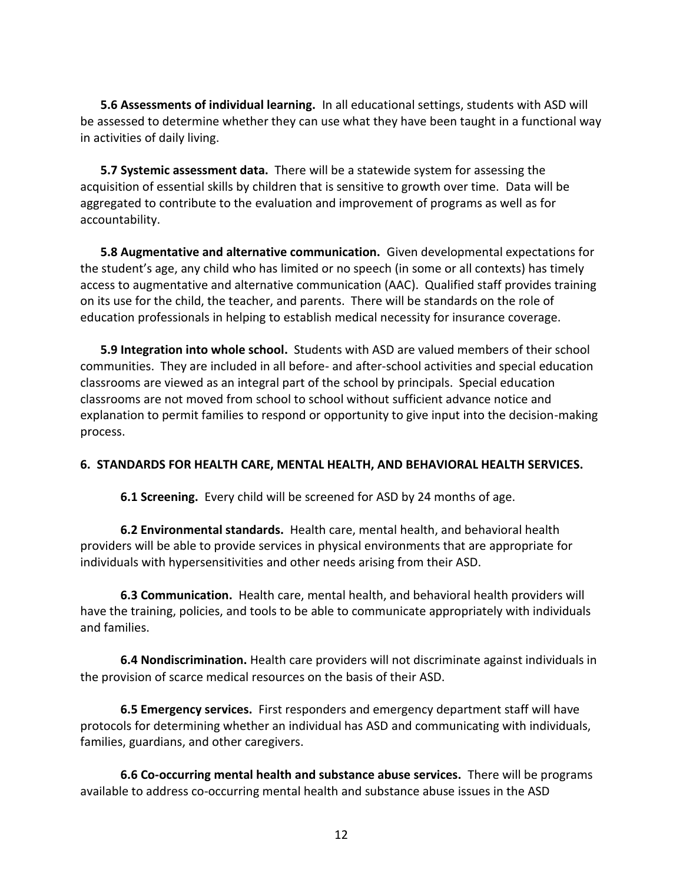**5.6 Assessments of individual learning.** In all educational settings, students with ASD will be assessed to determine whether they can use what they have been taught in a functional way in activities of daily living.

**5.7 Systemic assessment data.** There will be a statewide system for assessing the acquisition of essential skills by children that is sensitive to growth over time. Data will be aggregated to contribute to the evaluation and improvement of programs as well as for accountability.

**5.8 Augmentative and alternative communication.** Given developmental expectations for the student's age, any child who has limited or no speech (in some or all contexts) has timely access to augmentative and alternative communication (AAC). Qualified staff provides training on its use for the child, the teacher, and parents. There will be standards on the role of education professionals in helping to establish medical necessity for insurance coverage.

**5.9 Integration into whole school.** Students with ASD are valued members of their school communities. They are included in all before- and after-school activities and special education classrooms are viewed as an integral part of the school by principals. Special education classrooms are not moved from school to school without sufficient advance notice and explanation to permit families to respond or opportunity to give input into the decision-making process.

### **6. STANDARDS FOR HEALTH CARE, MENTAL HEALTH, AND BEHAVIORAL HEALTH SERVICES.**

**6.1 Screening.** Every child will be screened for ASD by 24 months of age.

**6.2 Environmental standards.** Health care, mental health, and behavioral health providers will be able to provide services in physical environments that are appropriate for individuals with hypersensitivities and other needs arising from their ASD.

**6.3 Communication.** Health care, mental health, and behavioral health providers will have the training, policies, and tools to be able to communicate appropriately with individuals and families.

**6.4 Nondiscrimination.** Health care providers will not discriminate against individuals in the provision of scarce medical resources on the basis of their ASD.

**6.5 Emergency services.** First responders and emergency department staff will have protocols for determining whether an individual has ASD and communicating with individuals, families, guardians, and other caregivers.

**6.6 Co-occurring mental health and substance abuse services.** There will be programs available to address co-occurring mental health and substance abuse issues in the ASD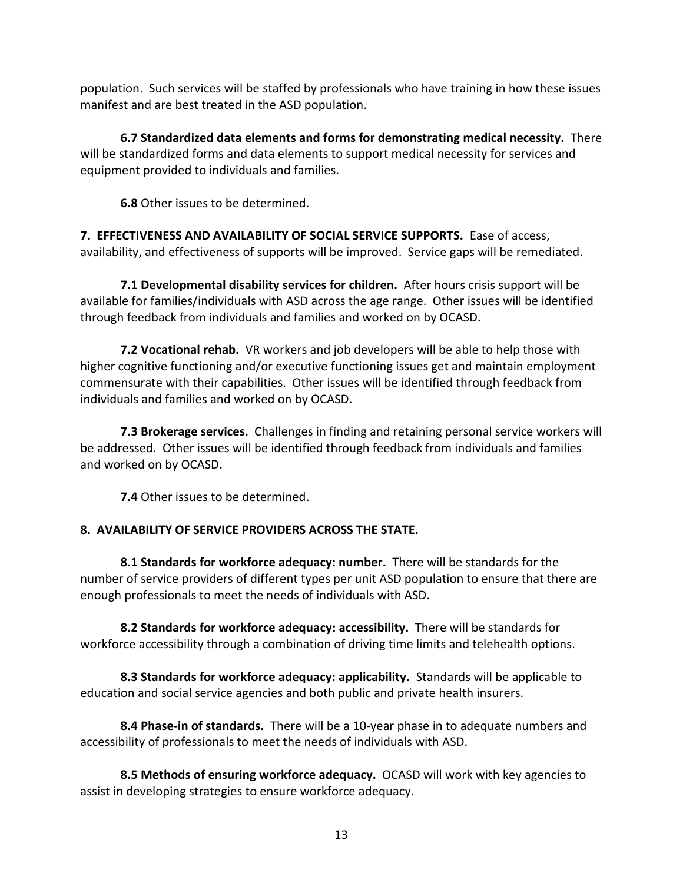population. Such services will be staffed by professionals who have training in how these issues manifest and are best treated in the ASD population.

**6.7 Standardized data elements and forms for demonstrating medical necessity.** There will be standardized forms and data elements to support medical necessity for services and equipment provided to individuals and families.

**6.8** Other issues to be determined.

**7. EFFECTIVENESS AND AVAILABILITY OF SOCIAL SERVICE SUPPORTS.** Ease of access, availability, and effectiveness of supports will be improved. Service gaps will be remediated.

**7.1 Developmental disability services for children.** After hours crisis support will be available for families/individuals with ASD across the age range. Other issues will be identified through feedback from individuals and families and worked on by OCASD.

**7.2 Vocational rehab.** VR workers and job developers will be able to help those with higher cognitive functioning and/or executive functioning issues get and maintain employment commensurate with their capabilities. Other issues will be identified through feedback from individuals and families and worked on by OCASD.

**7.3 Brokerage services.** Challenges in finding and retaining personal service workers will be addressed. Other issues will be identified through feedback from individuals and families and worked on by OCASD.

**7.4** Other issues to be determined.

# **8. AVAILABILITY OF SERVICE PROVIDERS ACROSS THE STATE.**

**8.1 Standards for workforce adequacy: number.** There will be standards for the number of service providers of different types per unit ASD population to ensure that there are enough professionals to meet the needs of individuals with ASD.

**8.2 Standards for workforce adequacy: accessibility.** There will be standards for workforce accessibility through a combination of driving time limits and telehealth options.

**8.3 Standards for workforce adequacy: applicability.** Standards will be applicable to education and social service agencies and both public and private health insurers.

**8.4 Phase-in of standards.** There will be a 10-year phase in to adequate numbers and accessibility of professionals to meet the needs of individuals with ASD.

**8.5 Methods of ensuring workforce adequacy.** OCASD will work with key agencies to assist in developing strategies to ensure workforce adequacy.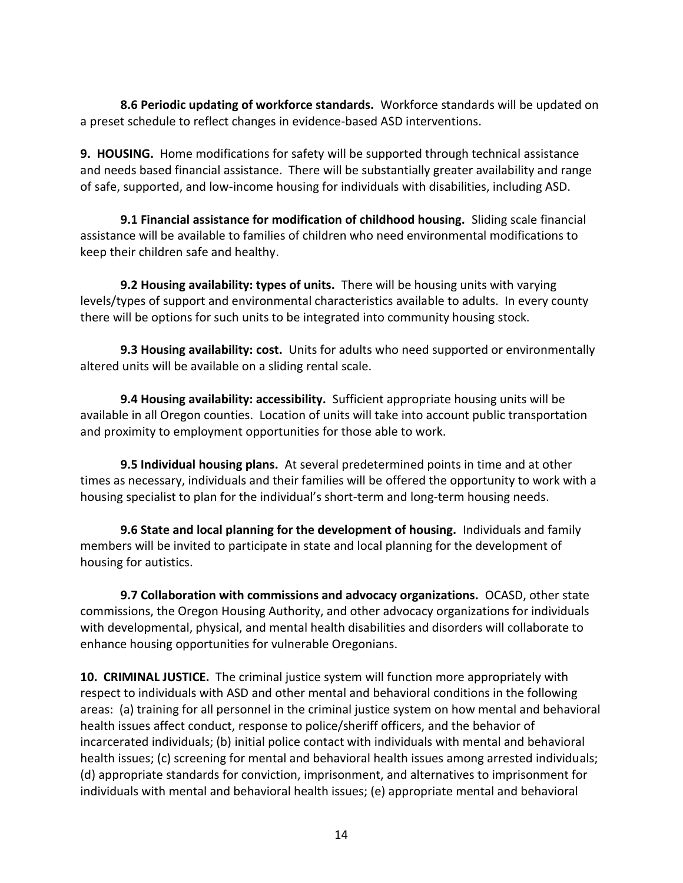**8.6 Periodic updating of workforce standards.** Workforce standards will be updated on a preset schedule to reflect changes in evidence-based ASD interventions.

**9. HOUSING.** Home modifications for safety will be supported through technical assistance and needs based financial assistance. There will be substantially greater availability and range of safe, supported, and low-income housing for individuals with disabilities, including ASD.

**9.1 Financial assistance for modification of childhood housing.** Sliding scale financial assistance will be available to families of children who need environmental modifications to keep their children safe and healthy.

**9.2 Housing availability: types of units.** There will be housing units with varying levels/types of support and environmental characteristics available to adults. In every county there will be options for such units to be integrated into community housing stock.

**9.3 Housing availability: cost.** Units for adults who need supported or environmentally altered units will be available on a sliding rental scale.

**9.4 Housing availability: accessibility.** Sufficient appropriate housing units will be available in all Oregon counties. Location of units will take into account public transportation and proximity to employment opportunities for those able to work.

**9.5 Individual housing plans.** At several predetermined points in time and at other times as necessary, individuals and their families will be offered the opportunity to work with a housing specialist to plan for the individual's short-term and long-term housing needs.

**9.6 State and local planning for the development of housing.** Individuals and family members will be invited to participate in state and local planning for the development of housing for autistics.

**9.7 Collaboration with commissions and advocacy organizations.** OCASD, other state commissions, the Oregon Housing Authority, and other advocacy organizations for individuals with developmental, physical, and mental health disabilities and disorders will collaborate to enhance housing opportunities for vulnerable Oregonians.

**10. CRIMINAL JUSTICE.** The criminal justice system will function more appropriately with respect to individuals with ASD and other mental and behavioral conditions in the following areas: (a) training for all personnel in the criminal justice system on how mental and behavioral health issues affect conduct, response to police/sheriff officers, and the behavior of incarcerated individuals; (b) initial police contact with individuals with mental and behavioral health issues; (c) screening for mental and behavioral health issues among arrested individuals; (d) appropriate standards for conviction, imprisonment, and alternatives to imprisonment for individuals with mental and behavioral health issues; (e) appropriate mental and behavioral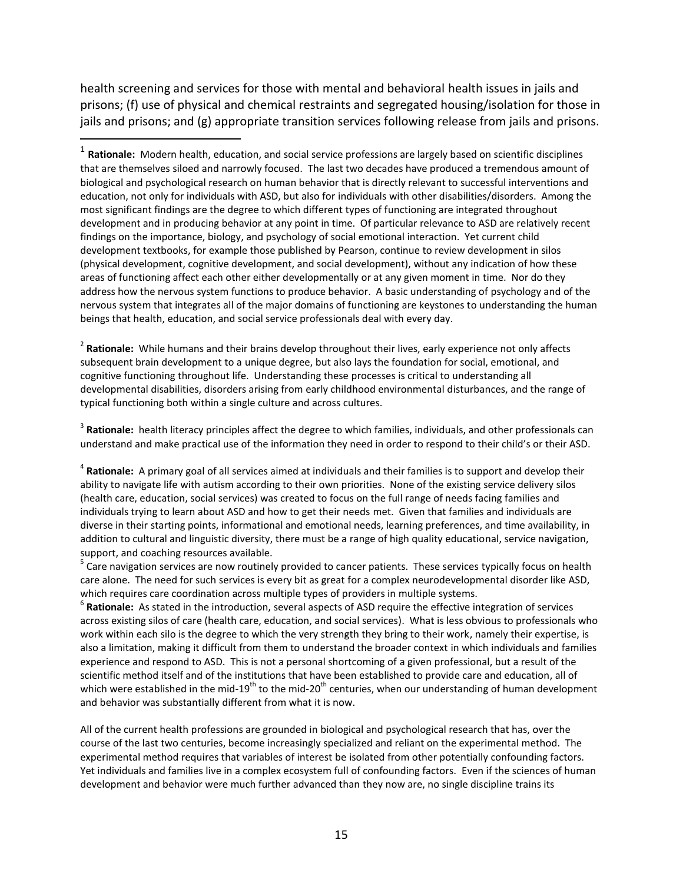health screening and services for those with mental and behavioral health issues in jails and prisons; (f) use of physical and chemical restraints and segregated housing/isolation for those in jails and prisons; and (g) appropriate transition services following release from jails and prisons.

 $\overline{a}$ 

2 **Rationale:** While humans and their brains develop throughout their lives, early experience not only affects subsequent brain development to a unique degree, but also lays the foundation for social, emotional, and cognitive functioning throughout life. Understanding these processes is critical to understanding all developmental disabilities, disorders arising from early childhood environmental disturbances, and the range of typical functioning both within a single culture and across cultures.

3 **Rationale:** health literacy principles affect the degree to which families, individuals, and other professionals can understand and make practical use of the information they need in order to respond to their child's or their ASD.

4 **Rationale:** A primary goal of all services aimed at individuals and their families is to support and develop their ability to navigate life with autism according to their own priorities. None of the existing service delivery silos (health care, education, social services) was created to focus on the full range of needs facing families and individuals trying to learn about ASD and how to get their needs met. Given that families and individuals are diverse in their starting points, informational and emotional needs, learning preferences, and time availability, in addition to cultural and linguistic diversity, there must be a range of high quality educational, service navigation, support, and coaching resources available.

<sup>5</sup> Care navigation services are now routinely provided to cancer patients. These services typically focus on health care alone. The need for such services is every bit as great for a complex neurodevelopmental disorder like ASD, which requires care coordination across multiple types of providers in multiple systems.

6 **Rationale:** As stated in the introduction, several aspects of ASD require the effective integration of services across existing silos of care (health care, education, and social services). What is less obvious to professionals who work within each silo is the degree to which the very strength they bring to their work, namely their expertise, is also a limitation, making it difficult from them to understand the broader context in which individuals and families experience and respond to ASD. This is not a personal shortcoming of a given professional, but a result of the scientific method itself and of the institutions that have been established to provide care and education, all of which were established in the mid-19<sup>th</sup> to the mid-20<sup>th</sup> centuries, when our understanding of human development and behavior was substantially different from what it is now.

All of the current health professions are grounded in biological and psychological research that has, over the course of the last two centuries, become increasingly specialized and reliant on the experimental method. The experimental method requires that variables of interest be isolated from other potentially confounding factors. Yet individuals and families live in a complex ecosystem full of confounding factors. Even if the sciences of human development and behavior were much further advanced than they now are, no single discipline trains its

<sup>1</sup> **Rationale:** Modern health, education, and social service professions are largely based on scientific disciplines that are themselves siloed and narrowly focused. The last two decades have produced a tremendous amount of biological and psychological research on human behavior that is directly relevant to successful interventions and education, not only for individuals with ASD, but also for individuals with other disabilities/disorders. Among the most significant findings are the degree to which different types of functioning are integrated throughout development and in producing behavior at any point in time. Of particular relevance to ASD are relatively recent findings on the importance, biology, and psychology of social emotional interaction. Yet current child development textbooks, for example those published by Pearson, continue to review development in silos (physical development, cognitive development, and social development), without any indication of how these areas of functioning affect each other either developmentally or at any given moment in time. Nor do they address how the nervous system functions to produce behavior. A basic understanding of psychology and of the nervous system that integrates all of the major domains of functioning are keystones to understanding the human beings that health, education, and social service professionals deal with every day.